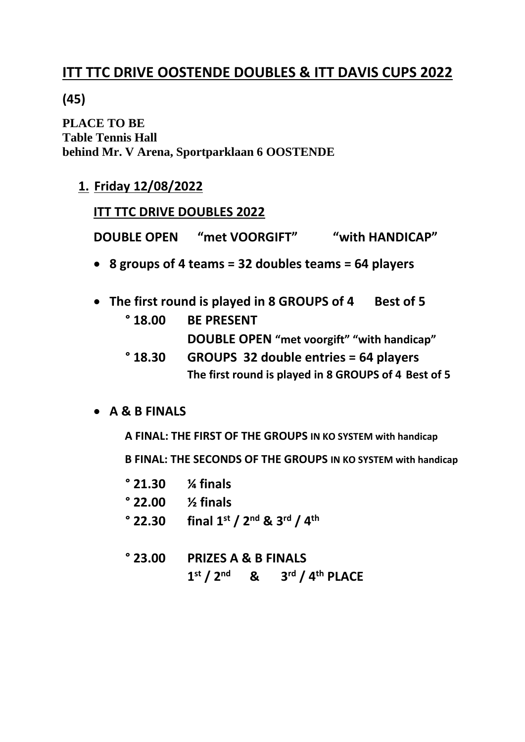# **ITT TTC DRIVE OOSTENDE DOUBLES & ITT DAVIS CUPS 2022**

## **(45)**

**PLACE TO BE Table Tennis Hall behind Mr. V Arena, Sportparklaan 6 OOSTENDE**

**1. Friday 12/08/2022**

## **ITT TTC DRIVE DOUBLES 2022**

**DOUBLE OPEN** "met VOORGIFT" "with HANDICAP"

- **8 groups of 4 teams = 32 doubles teams = 64 players**
- The first round is played in 8 GROUPS of 4 Best of 5
	- **° 18.00 BE PRESENT DOUBLE OPEN "met voorgift" "with handicap"**
	- **° 18.30 GROUPS 32 double entries = 64 players The first round is played in 8 GROUPS of 4 Best of 5**
- **A & B FINALS**

**A FINAL: THE FIRST OF THE GROUPS IN KO SYSTEM with handicap**

 **B FINAL: THE SECONDS OF THE GROUPS IN KO SYSTEM with handicap**

| $^{\circ}$ 21.30 $\frac{1}{4}$ finals                                            |
|----------------------------------------------------------------------------------|
| $^{\circ}$ 22.00 $\frac{1}{2}$ finals                                            |
| $^{\circ}$ 22.30 final 1st / 2 <sup>nd</sup> & 3 <sup>rd</sup> / 4 <sup>th</sup> |

# **° 23.00 PRIZES A & B FINALS**

**1 st / 2nd & 3 rd / 4th PLACE**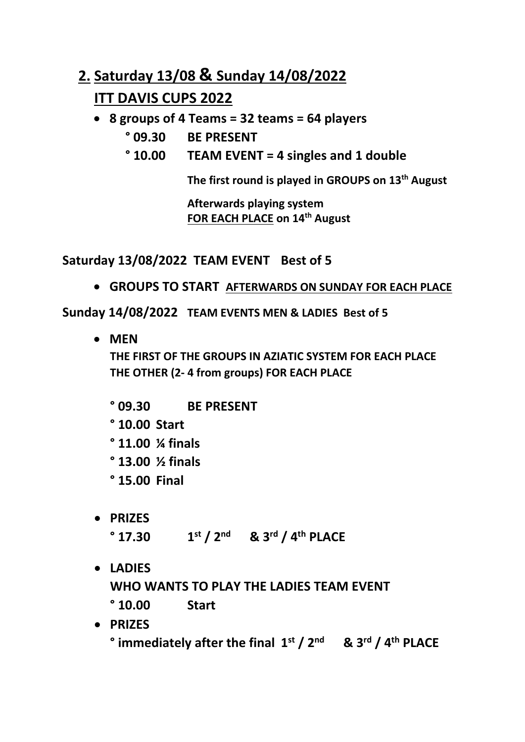# **2. Saturday 13/08 & Sunday 14/08/2022 ITT DAVIS CUPS 2022**

- **8 groups of 4 Teams = 32 teams = 64 players**
	- **° 09.30 BE PRESENT**
	- **° 10.00 TEAM EVENT = 4 singles and 1 double**

**The first round is played in GROUPS on 13 th August**

**Afterwards playing system FOR EACH PLACE on 14 th August**

**Saturday 13/08/2022 TEAM EVENT Best of 5**

• **GROUPS TO START AFTERWARDS ON SUNDAY FOR EACH PLACE**

**Sunday 14/08/2022 TEAM EVENTS MEN & LADIES Best of 5**

• **MEN THE FIRST OF THE GROUPS IN AZIATIC SYSTEM FOR EACH PLACE THE OTHER (2- 4 from groups) FOR EACH PLACE**

**° 09.30 BE PRESENT ° 10.00 Start ° 11.00 ¼ finals ° 13.00 ½ finals ° 15.00 Final**

- **PRIZES ° 17.30 1 st / 2nd & 3rd / 4th PLACE**
- **LADIES**

**WHO WANTS TO PLAY THE LADIES TEAM EVENT** 

- **° 10.00 Start**
- **PRIZES ° immediately after the final 1 st / 2nd & 3rd / 4th PLACE**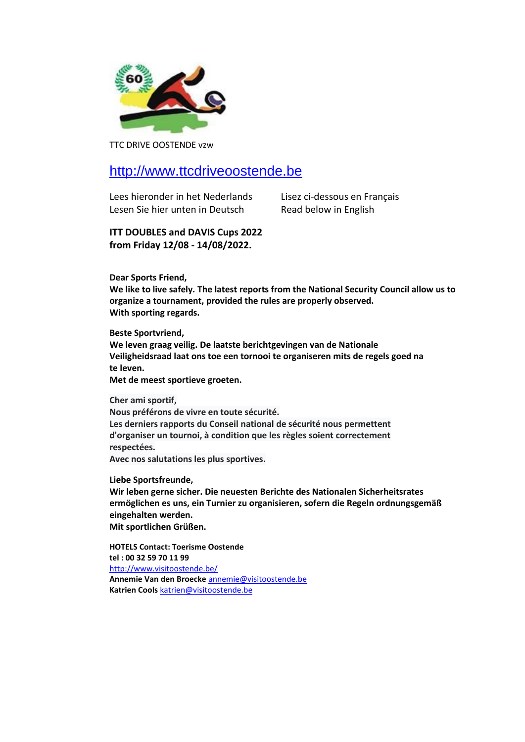

TTC DRIVE OOSTENDE vzw

### [http://www.ttcdriveoostende.be](http://www.ttcdriveoostende.be/)

Lees hieronder in het Nederlands Lisez ci-dessous en Français Lesen Sie hier unten in Deutsch Read below in English

**ITT DOUBLES and DAVIS Cups 2022 from Friday 12/08 - 14/08/2022.**

**Dear Sports Friend,**

**We like to live safely. The latest reports from the National Security Council allow us to organize a tournament, provided the rules are properly observed. With sporting regards.**

**Beste Sportvriend,**

**We leven graag veilig. De laatste berichtgevingen van de Nationale Veiligheidsraad laat ons toe een tornooi te organiseren mits de regels goed na te leven.**

**Met de meest sportieve groeten.**

**Cher ami sportif,** 

**Nous préférons de vivre en toute sécurité. Les derniers rapports du Conseil national de sécurité nous permettent d'organiser un tournoi, à condition que les règles soient correctement respectées.** 

**Avec nos salutations les plus sportives.**

**Liebe Sportsfreunde,**

**Wir leben gerne sicher. Die neuesten Berichte des Nationalen Sicherheitsrates ermöglichen es uns, ein Turnier zu organisieren, sofern die Regeln ordnungsgemäß eingehalten werden. Mit sportlichen Grüßen.**

**HOTELS Contact: Toerisme Oostende tel : 00 32 59 70 11 99** <http://www.visitoostende.be/> **Annemie Van den Broecke** [annemie@visitoostende.be](mailto:annemie@visitoostende.be) **Katrien Cools** [katrien@visitoostende.be](mailto:katrien@visitoostende.be)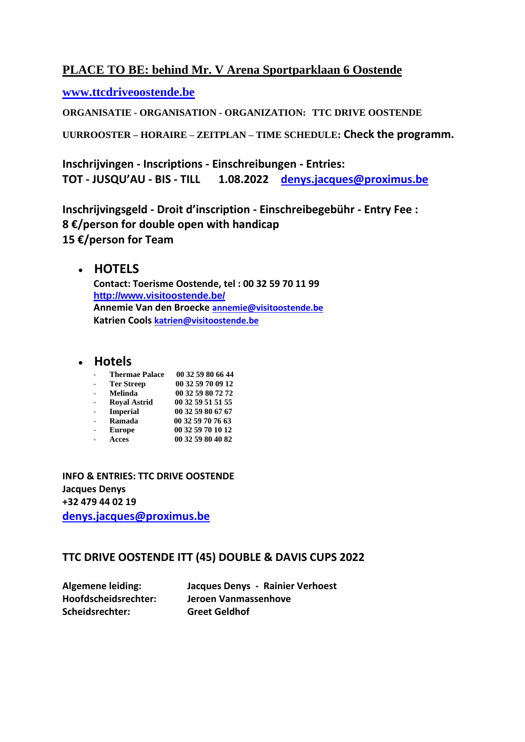#### **PLACE TO BE: behind Mr. V Arena Sportparklaan 6 Oostende**

**[www.ttcdriveoostende.be](http://www.ttcdriveoostende.be/)**

**ORGANISATIE - ORGANISATION - ORGANIZATION: TTC DRIVE OOSTENDE**

**UURROOSTER – HORAIRE – ZEITPLAN – TIME SCHEDULE: Check the programm.**

**Inschrijvingen - Inscriptions - Einschreibungen - Entries: TOT - JUSQU'AU - BIS - TILL 1.08.2022 [denys.jacques@proximus.be](mailto:denys.jacques@proximus.be)**

**Inschrijvingsgeld - Droit d'inscription - Einschreibegebühr - Entry Fee : 8 €/person for double open with handicap 15 €/person for Team** 

#### • **HOTELS**

**Contact: Toerisme Oostende, tel : 00 32 59 70 11 99 <http://www.visitoostende.be/> Annemie Van den Broecke [annemie@visitoostende.be](mailto:annemie@visitoostende.be) Katrien Cools [katrien@visitoostende.be](mailto:katrien@visitoostende.be)**

### • **Hotels**

| <b>Thermae Palace</b> | 00 32 59 80 66 44 |
|-----------------------|-------------------|
| <b>Ter Streep</b>     | 00 32 59 70 09 12 |
| Melinda               | 00 32 59 80 72 72 |
| <b>Royal Astrid</b>   | 00 32 59 51 51 55 |
| <b>Imperial</b>       | 00 32 59 80 67 67 |
| Ramada                | 00 32 59 70 76 63 |
| <b>Europe</b>         | 00 32 59 70 10 12 |
| <b>Acces</b>          | 00 32 59 80 40 82 |

**INFO & ENTRIES: TTC DRIVE OOSTENDE Jacques Denys +32 479 44 02 19 [denys.jacques@proximus.be](mailto:denys.jacques@proximus.be)**

#### **TTC DRIVE OOSTENDE ITT (45) DOUBLE & DAVIS CUPS 2022**

| <b>Algemene leiding:</b> | Jacques Denys - Rainier Verhoest |
|--------------------------|----------------------------------|
| Hoofdscheidsrechter:     | Jeroen Vanmassenhove             |
| Scheidsrechter:          | <b>Greet Geldhof</b>             |